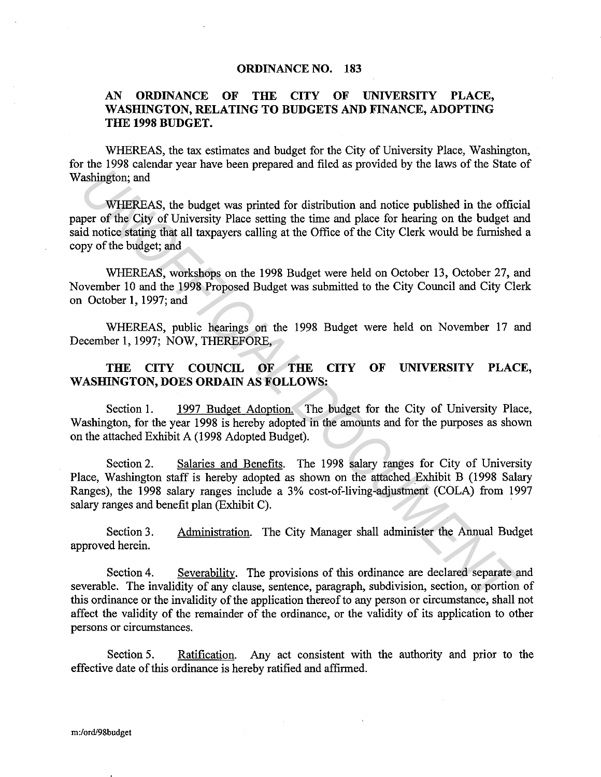#### **ORDINANCE NO. 183**

### **AN ORDINANCE OF THE CITY OF UNIVERSITY PLACE, WASHINGTON, RELATING TO BUDGETS AND FINANCE, ADOPTING THE 1998 BUDGET.**

WHEREAS, the tax estimates and budget for the City of University Place, Washington, for the 1998 calendar year have been prepared and filed as provided by the laws of the State of Washington; and

WHEREAS, the budget was printed for distribution and notice published in the official paper of the City of University Place setting the time and place for hearing on the budget and said notice stating that all taxpayers calling at the Office of the City Clerk would be furnished a copy of the budget; and The UNIFIREAS, the budget was principle and the time and posterior of the City of Hireston, and<br>
WHEREAS, the budget was princed for distribution and notice published in the office<br>
id notice stating that all taxpayers cal

WHEREAS, workshops on the 1998 Budget were held on October 13, October 27, and November 10 and the 1998 Proposed Budget was submitted to the City Council and City Clerk on October **1,** 1997; and

WHEREAS, public hearings on the 1998 Budget were held on November 17 and December 1, 1997; NOW, THEREFORE,

## **THE CITY COUNCIL OF THE CITY OF UNIVERSITY PLACE, WASHINGTON, DOES ORDAIN AS FOLLOWS:**

Section 1. 1997 Budget Adoption. The budget for the City of University Place, Washington, for the year 1998 is hereby adopted in the amounts and for the purposes as shown on the attached Exhibit A (1998 Adopted Budget).

Section 2. Salaries and Benefits. The 1998 salary ranges for City of University Place, Washington staff is hereby adopted as shown on the attached Exhibit B (1998 Salary Ranges), the 1998 salary ranges include a 3% cost-of-living-adjustment (COLA) from 1997 salary ranges and benefit plan (Exhibit C).

Section 3. approved herein. Administration. The City Manager shall administer the Annual Budget

Section 4. Severability. The provisions of this ordinance are declared separate and severable. The invalidity of any clause, sentence, paragraph, subdivision, section, or portion of this ordinance or the invalidity of the application thereof to any person or circumstance, shall not affect the validity of the remainder of the ordinance, or the validity of its application to other persons or circumstances.

Section 5. Ratification. Any act consistent with the authority and prior to the effective date of this ordinance is hereby ratified and affirmed.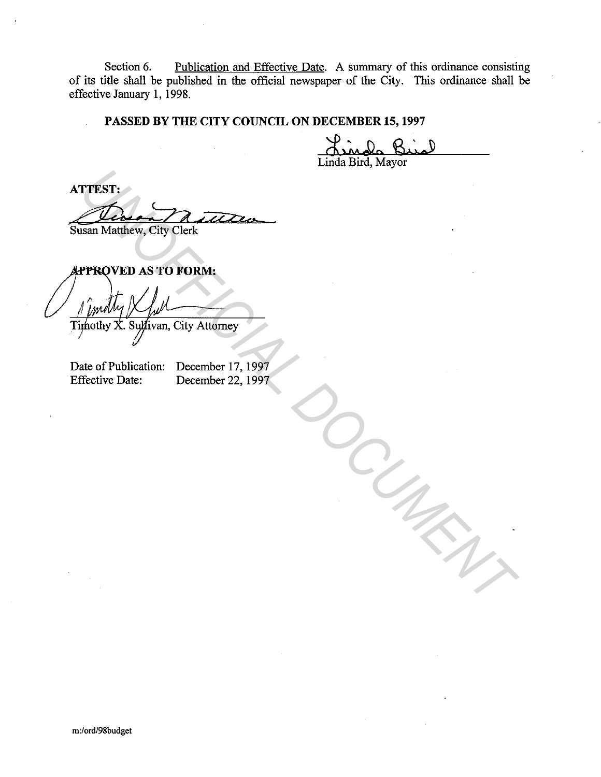Section 6. Publication and Effective Date. A summary of this ordinance consisting of its title shall be published in the official newspaper of the City. This ordinance shall be effective January **1,** 1998.

## **PASSED BY THE CITY COUNCIL ON DECEMBER 15, 1997**

Linda Bird, Mayor

**ATTEST:**  Diven nutter **The Column City Clerk**<br> **EXAMPLEM AS TO FORM:**<br> *I* (*inditing*) / *Lett*<br> *I* (*inditing*) / *Lett*<br> **Individual Document** 17, 1999<br> **Interview Date:** December 22, 1999

Susan Matthew, City Clerk

Date of Publication: December 17, 1997 Effective Date: December 22, 1997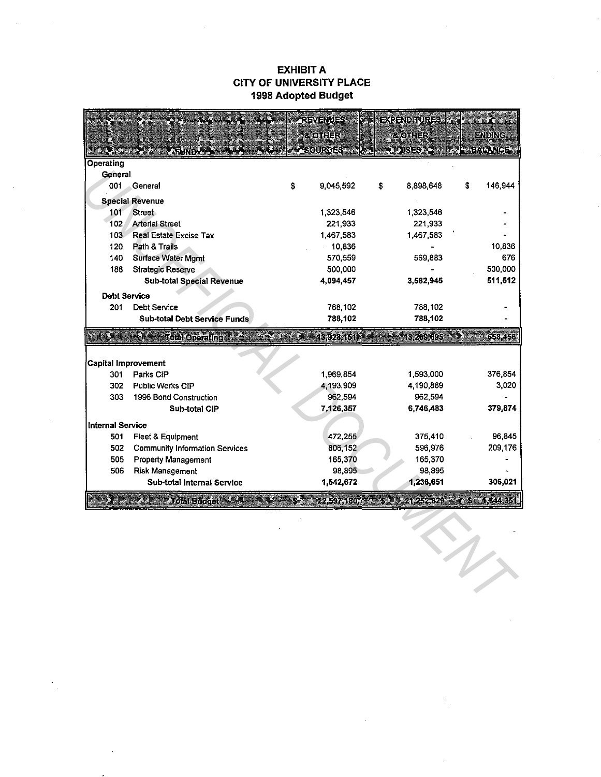### **EXHIBIT A CITY OF UNIVERSITY PLACE 1998 Adopted Budget**

|                     |                                       |    | REVENUES           |                                           | <b>EXPENDINURES</b> |    |                |
|---------------------|---------------------------------------|----|--------------------|-------------------------------------------|---------------------|----|----------------|
|                     |                                       |    | <b>&amp; OTHER</b> |                                           | <b>8 OTHER</b>      |    | ENDING         |
|                     | FUND.                                 |    | <b>SCURCES</b>     |                                           | <b>USES</b>         |    | <b>BALANCE</b> |
| <b>Operating</b>    |                                       |    |                    |                                           |                     |    |                |
| General             |                                       |    |                    |                                           |                     |    |                |
| 001                 | General                               | \$ | 9,045,592          | \$                                        | 8898,648            | \$ | 146,944        |
|                     | <b>Special Revenue</b>                |    |                    |                                           |                     |    |                |
| 101                 | <b>Street</b>                         |    | 1,323,546          |                                           | 1,323,546           |    |                |
| 102                 | <b>Arterial Street</b>                |    | 221,933            |                                           | 221,933             |    |                |
|                     | 103 Real Estate Excise Tax            |    | 1,467,583          |                                           | 1,467,583           |    |                |
| 120                 | Path & Trails                         |    | 10,836             |                                           |                     |    | 10,836         |
| 140                 | Surface Water Mgmt                    |    | 570,559            |                                           | 569,883             |    | 676            |
| 188                 | <b>Strategic Reserve</b>              |    | 500,000            |                                           |                     |    | 500,000        |
|                     | Sub-total Special Revenue             |    | 4,094,457          |                                           | 3,582,945           |    | 511,512        |
| <b>Debt Service</b> |                                       |    |                    |                                           |                     |    |                |
| 201                 | Dept Service                          |    | 788,102            |                                           | 788,102             |    |                |
|                     | <b>Sub-total Debt Service Funds</b>   |    | 788,102            |                                           | 788,102             |    |                |
|                     | Total Operating                       |    | 13,928,151         |                                           | 13,269,695          |    | 658 456        |
|                     |                                       |    |                    |                                           |                     |    |                |
|                     | Capital Improvement                   |    |                    |                                           |                     |    |                |
| 301                 | Parks CIP                             |    | 1,969,854          |                                           | 1,593,000           |    | 376,854        |
| 302                 | Public Works CIP                      |    | 4,193,909          |                                           | 4,190,889           |    | 3,020          |
| 303                 | 1996 Bond Construction                |    | 962,594            |                                           | 962,594             |    |                |
|                     | Sub-total CIP                         |    | 7,126,357          |                                           | 6746,483            |    | 379,874        |
| Internal Service    |                                       |    |                    |                                           |                     |    |                |
| 501                 | Fleet & Equipment                     |    | 472,255            |                                           | 375,410             |    | 96,845         |
| 502                 | <b>Community Information Services</b> |    | 806,152            |                                           | 596,976             |    | 209,176        |
| 505                 | <b>Property Management</b>            |    | 165,370            |                                           | 165,370             |    |                |
| 506                 | Risk Management                       |    | 98,895             |                                           | 98,895              |    |                |
|                     | Sub-total Internal Service            |    | 1,542,672          |                                           | 1,236,651           |    | 306,021        |
|                     | <b>Total Budget</b>                   | S  | 22,597,180         | $\mathcal{S}^{\mathcal{S}}_{\mathcal{S}}$ | 21 252 329          | Г. | 1,344,351      |
|                     |                                       |    |                    |                                           |                     |    |                |
|                     |                                       |    |                    |                                           |                     |    |                |
|                     |                                       |    |                    |                                           |                     |    |                |
|                     |                                       |    |                    |                                           |                     |    |                |
|                     |                                       |    |                    |                                           |                     |    |                |
|                     |                                       |    |                    |                                           |                     |    |                |
|                     |                                       |    |                    |                                           |                     |    |                |
|                     |                                       |    |                    |                                           |                     |    |                |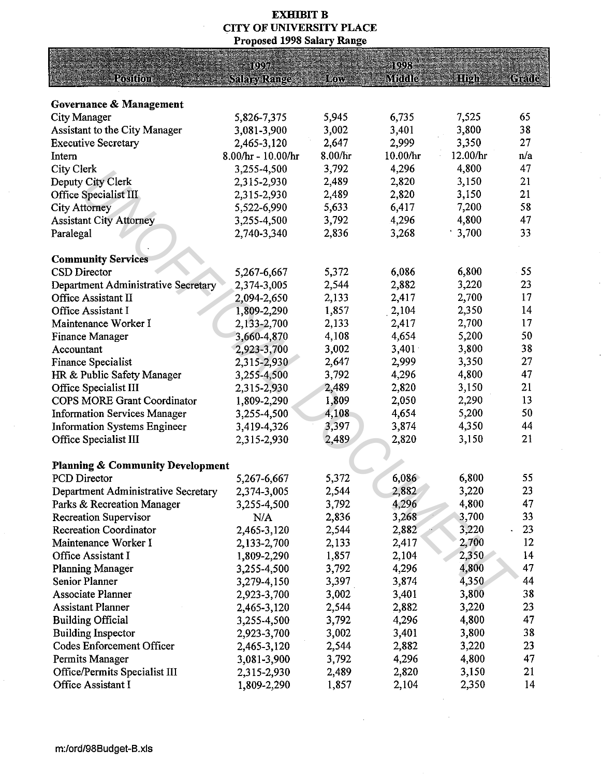## **EXHIBIT B** CITY OF UNIVERSITY PLACE Proposed 1998 Salary Range

|                                             | 10.97               |         | 1993     |          |       |
|---------------------------------------------|---------------------|---------|----------|----------|-------|
| <b>Resition</b>                             | <b>Salary Range</b> | Low     | Middle   | Hildh    | Grade |
|                                             |                     |         |          |          |       |
| Governance & Management                     |                     |         |          |          |       |
| City Manager                                | 5,826-7,375         | 5,945   | 6,735    | 7,525    | 65    |
| Assistant to the City Manager               | 3,081-3,900         | 3,002   | 3,401    | 3,800    | 38    |
| <b>Executive Secretary</b>                  | 2,465-3,120         | 2,647   | 2,999    | 3,350    | 27    |
| Intern                                      | 8.00/hr - 10.00/hr  | 8.00/hr | 10.00/hr | 12.00/hr | n/a   |
| City Clerk                                  | 3,255-4,500         | 3,792   | 4,296    | 4,800    | 47    |
| Deputy City Clerk                           | 2.315-2,930         | 2,489   | 2,820    | 3,150    | 21    |
| Office Specialist III                       | 2,315-2,930         | 2,489   | 2,820    | 3,150    | 21    |
| <b>City Attorney</b>                        | 5,522-6,990         | 5,633   | 6,417    | 7,200    | 58    |
| <b>Assistant City Attorney</b>              | 3,255-4,500         | 3,792   | 4,296    | 4,800    | 47    |
| Paralegal                                   | 2.740-3,340         | 2,836   | 3,268    | 3,700    | 33    |
|                                             |                     |         |          |          |       |
| <b>Community Services</b>                   |                     |         |          |          |       |
| CSD Director                                | 5,267-6,667         | 5,372   | 6,086    | 6,800    | 55    |
| Department Administrative Secretary         | 2,374-3,005         | 2,544   | 2,882    | 3,220    | 23    |
| Office Assistant II                         | 2,094-2,650         | 2,133   | 2,417    | 2,700    | 17    |
| Office Assistant I                          | 1,809-2,290         | 1,857   | 2,104    | 2,350    | 14    |
| Maintenance Worker I                        | 2,133-2,700         | 2,133   | 2,417    | 2,700    | 17    |
| <b>Finance Manager</b>                      | 3,660-4,870         | 4,108   | 4,654    | 5,200    | 50    |
| Accountant                                  | 2,923-3,700         | 3,002   | 3,401    | 3,800    | 38    |
| Finance Specialist                          | 2,315-2,930         | 2,647   | 2,999    | 3,350    | 27    |
| HR & Public Safety Manager                  | 3,255-4,500         | 3,792   | 4,296    | 4,800    | 47    |
| Office Specialist III                       | 2,315-2,930         | 2,489   | 2,820    | 3,150    | 21    |
| <b>COPS MORE Grant Coordinator</b>          | 1,809-2,290         | 1,809   | 2,050    | 2,290    | 13    |
| <b>Information Services Manager</b>         | 3,255-4,500         | 4,108   | 4,654    | 5,200    | 50    |
| <b>Information Systems Engineer</b>         | 3,419-4,326         | 3,397   | 3,874    | 4,350    | 44    |
| Office Specialist III                       | 2,315-2,930         | 2,489   | 2,820    | 3,150    | 21    |
|                                             |                     |         |          |          |       |
| <b>Planning &amp; Community Development</b> |                     |         |          |          |       |
| PCD Director                                | 5,267-6,667         | 5,372   | 6,086    | 6,800    | 55    |
| Department Administrative Secretary         | 2,374-3,005         | 2,544   | 2,882    | 3,220    | 23    |
| Parks & Recreation Manager                  | 3,255-4,500         | 3,792   | 4,296    | 4,800    | 47    |
| <b>Recreation Supervisor</b>                | N/A                 | 2,836   | 3,268    | 3,700    | 33    |
| Recreation Coordinator                      | 2,465-3,120         | 2,544   | 2,882    | 3,220    | 23    |
| Maintenance Worker I                        | 2,133-2,700         | 2,133   | 2,417    | 2,700    | 12    |
| Office Assistant I                          | 1,809-2,290         | 1,857   | 2,104    | 2,350    | 14    |
| <b>Planning Manager</b>                     | 3,255-4,500         | 3,792   | 4,296    | 4,800    | 47    |
| <b>Senior Planner</b>                       | 3,279-4,150         | 3,397   | 3,874    | 4,350    | 44    |
| <b>Associate Planner</b>                    | 2,923-3,700         | 3,002   | 3,401    | 3,800    | 38    |
| <b>Assistant Planner</b>                    | 2,465-3,120         | 2,544   | 2,882    | 3,220    | 23    |
| <b>Building Official</b>                    | 3,255-4,500         | 3,792   | 4,296    | 4,800    | 47    |
| <b>Building Inspector</b>                   | 2,923-3,700         | 3,002   | 3,401    | 3,800    | 38    |
| <b>Codes Enforcement Officer</b>            | 2,465-3,120         | 2,544   | 2,882    | 3,220    | 23    |
| Permits Manager                             | 3,081-3,900         | 3,792   | 4,296    | 4,800    | 47    |
| Office/Permits Specialist III               | 2,315-2,930         | 2,489   | 2,820    | 3,150    | 21    |
| Office Assistant I                          | 1,809-2,290         | 1,857   | 2,104    | 2,350    | 14    |

 $\mathcal{L}^{\mathcal{L}}$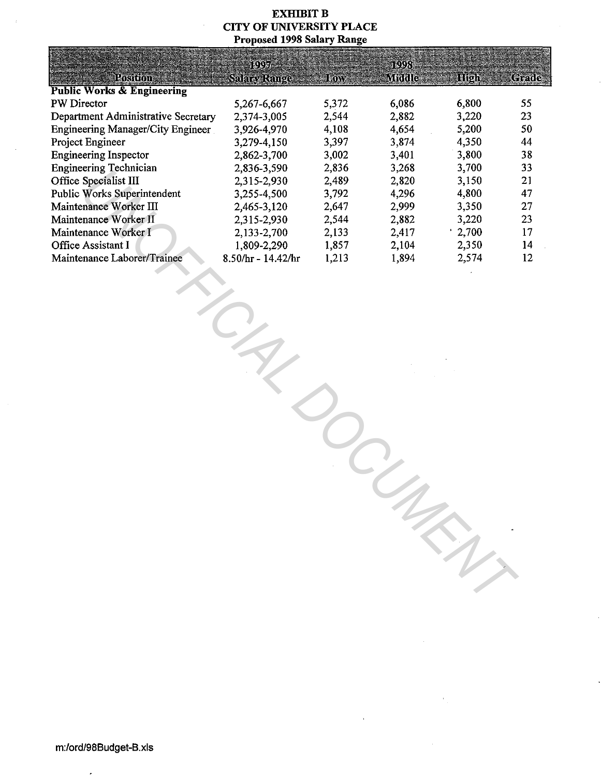### **EXHIBIT B CITY OF UNIVERSITY PLACE Proposed 1998 Salary Range**

|                                       | 1997                 |       | 1998   |       |       |
|---------------------------------------|----------------------|-------|--------|-------|-------|
| Postfon                               | <b>Salary Range</b>  | Low   | Mroble | 1810h | Grade |
| <b>Public Works &amp; Engineering</b> |                      |       |        |       |       |
| PW Director                           | 5,267-6,667          | 5,372 | 6,086  | 6,800 | 55    |
| Department Administrative Secretary   | 2,374-3,005          | 2,544 | 2,882  | 3,220 | 23    |
| Engineering Manager/City Engineer     | 3,926-4,970          | 4,108 | 4,654  | 5,200 | 50    |
| Project Engineer                      | 3,279-4,150          | 3,397 | 3,874  | 4,350 | 44    |
| <b>Engineering Inspector</b>          | 2,862-3,700          | 3,002 | 3,401  | 3,800 | 38    |
| <b>Engineering Technician</b>         | 2,836-3,590          | 2,836 | 3,268  | 3,700 | 33    |
| Office Specialist III                 | 2,315-2,930          | 2,489 | 2,820  | 3,150 | 21    |
| <b>Public Works Superintendent</b>    | 3,255-4,500          | 3,792 | 4,296  | 4,800 | 47    |
| Maintenance Worker III                | 2,465-3,120          | 2,647 | 2,999  | 3,350 | 27    |
| Maintenance Worker II                 | 2,315-2,930          | 2,544 | 2,882  | 3,220 | 23    |
| Maintenance Worker I                  | 2,133-2,700          | 2,133 | 2,417  | 1,700 | 17    |
| Office Assistant I                    | 1,809-2,290          | 1,857 | 2,104  | 2,350 | 14    |
| Maintenance Laborer/Trainee           | $8.50/hr - 14.42/hr$ | 1,213 | 1,894  | 2,574 | 12    |
|                                       |                      |       |        |       |       |